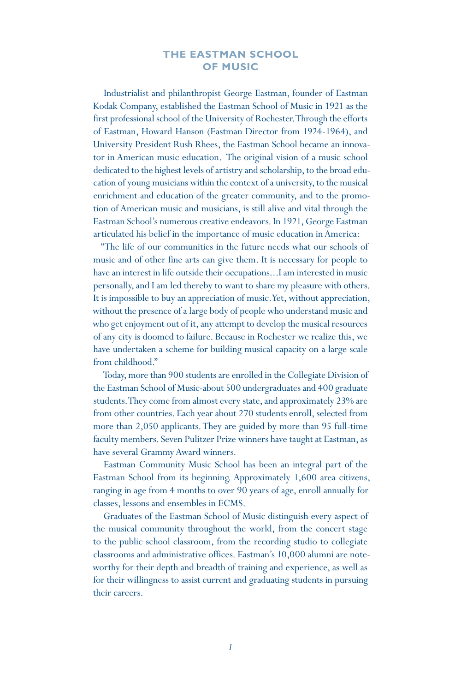# **THE EASTMAN SCHOOL OF MUSIC**

Industrialist and philanthropist George Eastman, founder of Eastman Kodak Company, established the Eastman School of Music in 1921 as the first professional school of the University of Rochester. Through the efforts of Eastman, Howard Hanson (Eastman Director from 1924-1964), and University President Rush Rhees, the Eastman School became an innovator in American music education. The original vision of a music school dedicated to the highest levels of artistry and scholarship, to the broad education of young musicians within the context of a university, to the musical enrichment and education of the greater community, and to the promotion of American music and musicians, is still alive and vital through the Eastman School's numerous creative endeavors. In 1921, George Eastman articulated his belief in the importance of music education in America:

"The life of our communities in the future needs what our schools of music and of other fine arts can give them. It is necessary for people to have an interest in life outside their occupations...I am interested in music personally, and I am led thereby to want to share my pleasure with others. It is impossible to buy an appreciation of music. Yet, without appreciation, without the presence of a large body of people who understand music and who get enjoyment out of it, any attempt to develop the musical resources of any city is doomed to failure. Because in Rochester we realize this, we have undertaken a scheme for building musical capacity on a large scale from childhood."

Today, more than 900 students are enrolled in the Collegiate Division of the Eastman School of Music-about 500 undergraduates and 400 graduate students. They come from almost every state, and approximately 23% are from other countries. Each year about 270 students enroll, selected from more than 2,050 applicants. They are guided by more than 95 full-time faculty members. Seven Pulitzer Prize winners have taught at Eastman, as have several Grammy Award winners.

Eastman Community Music School has been an integral part of the Eastman School from its beginning. Approximately 1,600 area citizens, ranging in age from 4 months to over 90 years of age, enroll annually for classes, lessons and ensembles in ECMS.

Graduates of the Eastman School of Music distinguish every aspect of the musical community throughout the world, from the concert stage to the public school classroom, from the recording studio to collegiate classrooms and administrative offices. Eastman's 10,000 alumni are noteworthy for their depth and breadth of training and experience, as well as for their willingness to assist current and graduating students in pursuing their careers.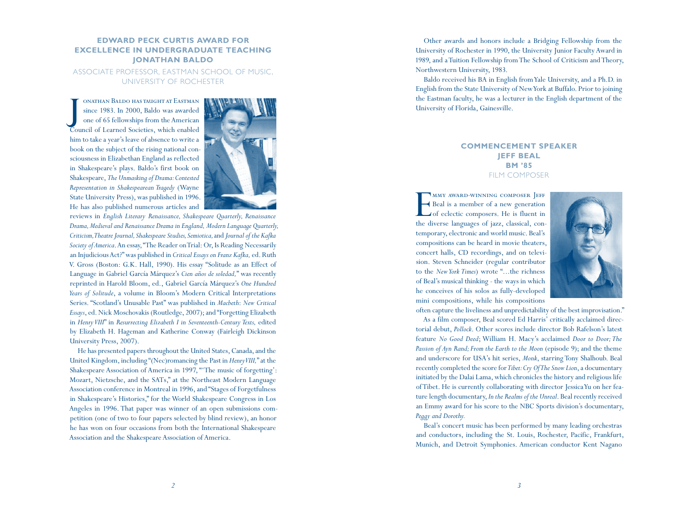#### **EDWARD PECK CURTIS AWARD FOR u EXCELLENCE IN UNDERGRADUATE TEACHING n a Jonathan Bal d o**

Associ ate Professor, Eastm an School of Music, University of Rochester

J onathan Baldo has taught at Eastman since 1983. In 2000, Baldo was awarded one of 65 fellowships from the American Council of Learned Societies, which enabled him to take a year's leave of absence to write a book on the subject of the rising national con sciousness in Elizabethan England as reflected in Shakespeare's plays. Baldo's first book on Shakespeare, *The Unmasking of Drama: Contested Representation in Shakespearean Tragedy* (Wayne State University Press), was published in 1996. He has also published numerous articles and



reviews in *English Literary Renaissance, Shakespeare Quarterly, Renaissance Drama, Medieval and Renaissance Dramain England, Modern Language Quarterly, Criticism, Theatre Journal, Shakespeare Studies, Semiotica,* and *Journal of the Kafka Society of America*. An essay, "The Reader on Trial: Or, Is Reading Necessarily an Injudicious Act?" was published in *Critical Essays on Franz Kafka,* ed. Ruth V. Gross (Boston: G.K. Hall, 1990). His essay "Solitude as an Effect of Language in Gabriel García Márquez's *Cien años de soledad,*" was recently reprinted in Harold Bloom, ed., Gabriel García Márquez's *One Hundred Years of Solitude*, a volume in Bloom's Modern Critical Interpretations Series. "Scotland's Unusable Past" was published in *Macbeth*: *New Critical Essays*, ed. Nick Moschovakis (Routledge, 2007); and "Forgetting Elizabeth in *Henry VIII*" in *Resurrecting Elizabeth I in Seventeenth-Century Texts,* edited by Elizabeth H. Hageman and Katherine Conway (Fairleigh Dickinson University Press, 2007).

He has presented papers throughout the United States, Canada, and the United Kingdom, including "(Nec)romancing the Past in *Henry VIII,*" at the Shakespeare Association of America in 1997, "'The music of forgetting': Mozart, Nietzsche, and the SATs," at the Northeast Modern Language Association conference in Montreal in 1996, and "Stages of Forgetfulness in Shakespeare's Histories," for the World Shakespeare Congress in Los Angeles in 1996. That paper was winner of an open submissions com petition (one of two to four papers selected by blind review), an honor he has won on four occasions from both the International Shakespeare Association and the Shakespeare Association of America.

Other awards and honors include a Bridging Fellowship from the University of Rochester in 1990, the University Junior Faculty Award in 1989, and a Tuition Fellowship from The School of Criticism and Theory, Northwestern University, 1983.

Baldo received his BA in English from Yale University, and a Ph.D. in English from the State University of New York at Buffalo. Prior to joining the Eastman faculty, he was a lecturer in the English department of the University of Florida, Gainesville.

# **COMMENCEMENT SPEAKER Jeff Beal BM '85** FILM COMPOSER

E MMY AWARD-WINNING COMPOSER EFF Beal is a member of a new generation of eclectic composers. He is fluent in the diverse languages of jazz, classical, con temporary, electronic and world music. Beal's compositions can be heard in movie theaters, concert halls, CD recordings, and on televi sion. Steven Schneider (regular contributor to the *New York Times*) wrote "...the richness of Beal's musical thinking - the ways in which he conceives of his solos as fully-developed mini compositions, while his compositions



often capture the liveliness and unpredictability of the best improvisation."

As a film composer, Beal scored Ed Harris' critically acclaimed direc torial debut, *Pollock*. Other scores include director Bob Rafelson's latest feature *No Good Deed*; William H. Macy's acclaimed *Door to Door; The Passion of Ayn Rand; From the Earth to the Moon* (episode 9); and the theme and underscore for USA's hit series, *Monk*, starring Tony Shalhoub. Beal recently completed the score for *Tibet: Cry Of The Snow Lion*, a documentary initiated by the Dalai Lama, which chronicles the history and religious life of Tibet. He is currently collaborating with director Jessica Yu on her fea ture length documentary, *In the Realms of the Unreal*. Beal recently received an Emmy award for his score to the NBC Sports division's documentary, *Peggy and Dorothy.*

Beal's concert music has been performed by many leading orchestras and conductors, including the St. Louis, Rochester, Pacific, Frankfurt, Munich, and Detroit Symphonies. American conductor Kent Nagano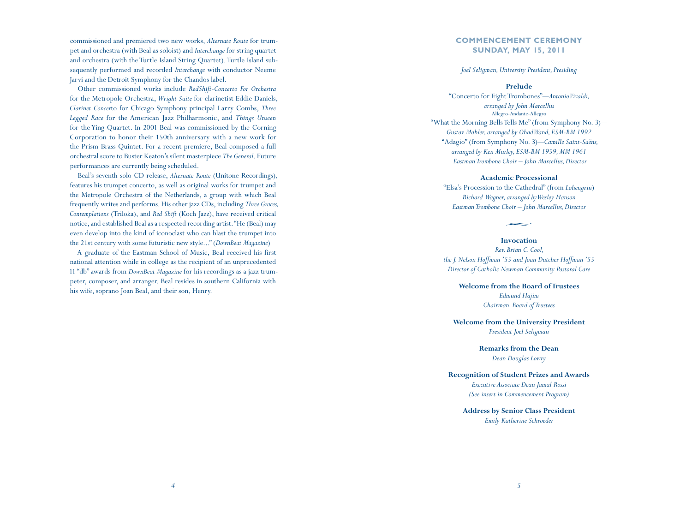commissioned and premiered two new works, *Alternate Route* for trumpet and orchestra (with Beal as soloist) and *Interchange* for string quartet and orchestra (with the Turtle Island String Quartet). Turtle Island subsequently performed and recorded *Interchange* with conductor Neeme Jarvi and the Detroit Symphony for the Chandos label.

Other commissioned works include *RedShift-Concerto For Orchestra*  for the Metropole Orchestra, *Wright Suite* for clarinetist Eddie Daniels, *Clarinet Concer*to for Chicago Symphony principal Larry Combs, *Three Legged Race* for the American Jazz Philharmonic, and *Things Unseen* for the Ying Quartet. In 2001 Beal was commissioned by the Corning Corporation to honor their 150th anniversary with a new work for the Prism Brass Quintet. For a recent premiere, Beal composed a full orchestral score to Buster Keaton's silent masterpiece *The General*. Future performances are currently being scheduled.

Beal's seventh solo CD release, *Alternate Route* (Unitone Recordings), features his trumpet concerto, as well as original works for trumpet and the Metropole Orchestra of the Netherlands, a group with which Beal frequently writes and performs. His other jazz CDs, including *Three Graces, Contemplations* (Triloka), and *Red Shift* (Koch Jazz), have received critical notice, and established Beal as a respected recording artist. "He (Beal) may even develop into the kind of iconoclast who can blast the trumpet into the 21st century with some futuristic new style..." (*DownBeat Magazine*)

A graduate of the Eastman School of Music, Beal received his first national attention while in college as the recipient of an unprecedented 11 "db" awards from *DownBeat Magazine* for his recordings as a jazz trumpeter, composer, and arranger. Beal resides in southern California with his wife, soprano Joan Beal, and their son, Henry.

# **COMMENCEMENT CEREMONY SUNDAY, MAY 15, 2011**

### *Joel Seligman, University President, Presiding*

### **Prelude**

"Concerto for Eight Trombones"—*Antonio Vivaldi, arranged by John Marcellus* Allegro-Andante-Allegro "What the Morning Bells Tells Me" (from Symphony No. 3)— *Gustav Mahler, arranged by Ohad Wand, ESM-BM 1992* "Adagio" (from Symphony No. 3)—*Camille Saint-Saëns, arranged by Ken Murley, ESM-BM 1959, MM 1961 Eastman Trombone Choir – John Marcellus, Director*

### **Academic Processional**

"Elsa's Procession to the Cathedral" (from *Lohengrin*) *Richard Wagner, arranged by Wesley Hanson Eastman Trombone Choir – John Marcellus, Director*

### **Invocation**

*Rev. Brian C. Cool, the J. Nelson Hoffman '55 and Joan Dutcher Hoffman '55 Director of Catholic Newman Community Pastoral Care*

> **Welcome from the Board of Trustees** *Edmund Hajim Chairman, Board of Trustees*

**Welcome from the University President** *President Joel Seligman*

> **Remarks from the Dean** *Dean Douglas Lowry*

# **Recognition of Student Prizes and Awards**

*Executive Associate Dean Jamal Rossi (See insert in Commencement Program)*

**Address by Senior Class President** *Emily Katherine Schroeder*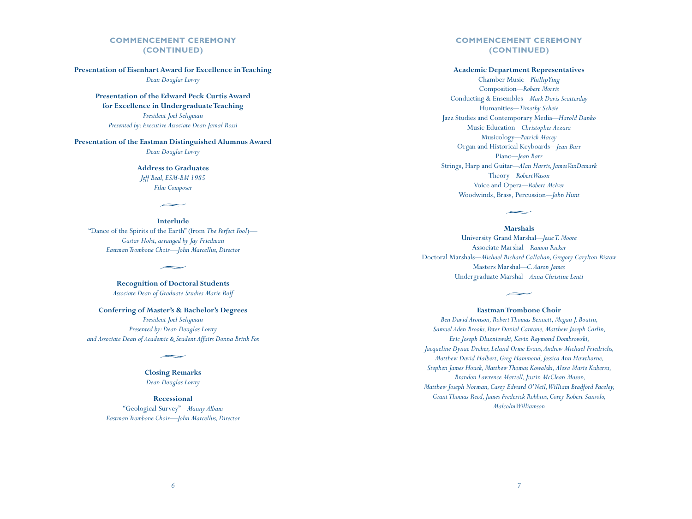# **COMMENCEMENT CEREMONY (CONTINUED)**

**Presentation of Eisenhart Award for Excellence in Teaching** *Dean Douglas Lowry*

> **Presentation of the Edward Peck Curtis Award for Excellence in Undergraduate Teaching** *President Joel Seligman Presented by: Executive Associate Dean Jamal Rossi*

### **Presentation of the Eastman Distinguished Alumnus Award**

*Dean Douglas Lowry*

# **Address to Graduates** *Jeff Beal, ESM-BM 1985 Film Composer*

**Interlude** "Dance of the Spirits of the Earth" (from *The Perfect Fool*)*— Gustav Holst, arranged by Jay Friedman Eastman Trombone Choir—John Marcellus, Director*

> **Recognition of Doctoral Students** *Associate Dean of Graduate Studies Marie Rolf*

**Conferring of Master's & Bachelor's Degrees** *President Joel Seligman Presented by: Dean Douglas Lowry and Associate Dean of Academic & Student Affairs Donna Brink Fox*

# **Closing Remarks** *Dean Douglas Lowry*

**Recessional** "Geological Survey"—*Manny Albam Eastman Trombone Choir—John Marcellus, Director*

## **COMMENCEMENT CEREMONY (CONTINUED)**

### **Academic Department Representatives**

Chamber Music—*Phillip Ying* Composition—*Robert Morris* Conducting & Ensembles—*Mark Davis Scatterday* Humanities—*Timothy Scheie* Jazz Studies and Contemporary Media—*Harold Danko* Music Education—*Christopher Azzara* Musicology—*Patrick Macey* Organ and Historical Keyboards—*Jean Barr* Piano—*Jean Barr* Strings, Harp and Guitar—*Alan Harris, James VanDemark* Theory—*Robert Wason* Voice and Opera—*Robert McIver* Woodwinds, Brass, Percussion—*John Hunt*

**Marshals**

University Grand Marshal—*Jesse T. Moore* Associate Marshal—*Ramon Ricker* Doctoral Marshals—*Michael Richard Callahan, Gregory Carylton Ristow* Masters Marshal—*C. Aaron James* Undergraduate Marshal—*Anna Christine Lenti*

### **Eastman Trombone Choir**

*Ben David Aronson, Robert Thomas Bennett, Megan J. Boutin, Samuel Aden Brooks, Peter Daniel Cantone, Matthew Joseph Carlin, Eric Joseph Dluzniewski, Kevin Raymond Dombrowski, Jacqueline Dynae Dreher, Leland Orme Evans, Andrew Michael Friedrichs, Matthew David Halbert, Greg Hammond, Jessica Ann Hawthorne, Stephen James Houck, Matthew Thomas Kowalski, Alexa Marie Kuberra, Brandon Lawrence Martell, Justin McClean Mason, Matthew Joseph Norman, Casey Edward O'Neil,William Bradford Paceley, Grant Thomas Reed, James Frederick Robbins, Corey Robert Sansolo, Malcolm Williamson*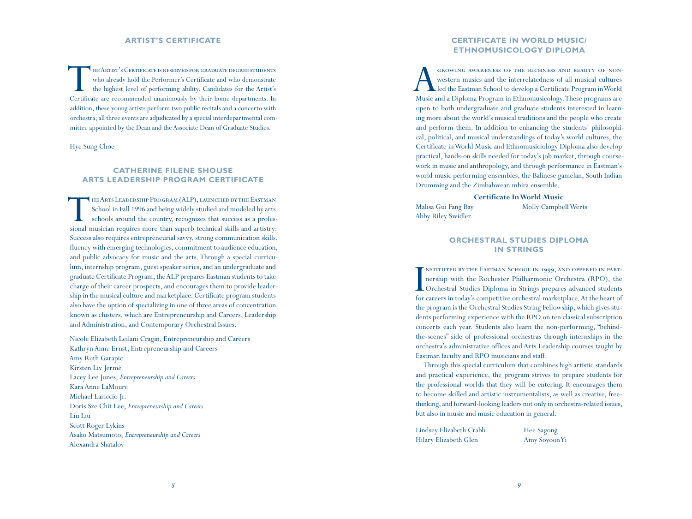#### **ARTIST'S CER e**

The Artist's Certificate is reserved for graduate degree students who already hold the Performer's Certificate and who demonstrate the highest level of performing ability. Candidates for the Artist's Certificate are recommended unanimously by their home departments. In addition, these young artists perform two public recitals and a concerto with orchestra; all three events are adjudicated by a special interdepartmental com mittee appointed by the Dean and the Associate Dean of Graduate Studies.

Hye Sung Choe

### **ARTS LEADERSHIP PROGRAM CER e e**

THE ARTS LEADERSHIP PROGRAM (ALP), LAUNCHED BY THE EASTMAN School in Fall 1996 and being widely studied and modeled by arts schools around the country, recognizes that success as a profes-School in Fall 1996 and being widely studied and modeled by arts schools around the country, recognizes that success as a professional musician requires more than superb technical skills and artistry: Success also requires entrepreneurial savvy, strong communication skills, fluency with emerging technologies, commitment to audience education, and public advocacy for music and the arts. Through a special curricu lum, internship program, guest speaker series, and an undergraduate and graduate Certificate Program, the ALP prepares Eastman students to take charge of their career prospects, and encourages them to provide leader ship in the musical culture and marketplace. Certificate program students also have the option of specializing in one of three areas of concentration known as clusters, which are Entrepreneurship and Careers, Leadership **EXECUTE SHOUSE<br>ARTS LEADERSHIP PROGRAM CERTIF**<br>HEARTS LEADERSHIP PROGRAM CERTIF<br>School in Fall 1996 and being widely studied and m<br>schools around the country, recognizes that succe<br>sional musician requires more than super

Nicole Elizabeth Leilani Cragin, Entrepreneurship and Careers Kathryn Anne Ernst, Entrepreneurship and Careers Amy Ruth Garapic Kirsten Liv Jermé Lacey Lee Jones, *Entrepreneurship and Careers* Kara Anne LaMoure Michael Lariccio Jr. Doris Sze Chit Lee, *Entrepreneurship and Careers* Liu Liu Scott Roger Lykins Asako Matsumoto, *Entrepreneurship and Careers* Alexandra Shatalov

### **CERTIFICATE IN WORLD MUSIC/ e ETHNOMUSICOLOGY D**

A growing awareness of the richness and beauty of non-led the Eastman School to develop a Certificate Program in World western musics and the interrelatedness of all musical cultures Music and a Diploma Program in Ethnomusicology. These programs are open to both undergraduate and graduate students interested in learn ing more about the world's musical traditions and the people who create and perform them. In addition to enhancing the students' philosophical, political, and musical understandings of today's world cultures, the Certificate in World Music and Ethnomusiciology Diploma also develop practical, hands-on skills needed for today's job market, through course work in music and anthropology, and through performance in Eastman's world music performing ensembles, the Balinese gamelan, South Indian Drumming and the Zimbabwean mbira ensemble.

### **Certificate In World Music**

Malisa Gui Fang Bay Abby Riley Swidler

Molly Campbell Werts

#### **ORCHESTRAL STUDIES D** IN STRING **t s**

I Orchestral Studies Diploma in Strings prepares advanced students nstituted by the Eastman School in 1999, and offered in part nership with the Rochester Philharmonic Orchestra (RPO), the for careers in today's competitive orchestral marketplace. At the heart of the program is the Orchestral Studies String Fellowship, which gives stu dents performing experience with the RPO on ten classical subscription concerts each year. Students also learn the non-performing, "behindthe-scenes" side of professional orchestras through internships in the orchestra's administrative offices and Arts Leadership courses taught by Eastman faculty and RPO musicians and staff.

Through this special curriculum that combines high artistic standards and practical experience, the program strives to prepare students for the professional worlds that they will be entering. It encourages them to become skilled and artistic instrumentalists, as well as creative, freethinking, and forward-looking leaders not only in orchestra-related issues, but also in music and music education in general.

Lindsey Elizabeth Crabb Hilary Elizabeth Glen

Hee Sagong Amy Soyoon Yi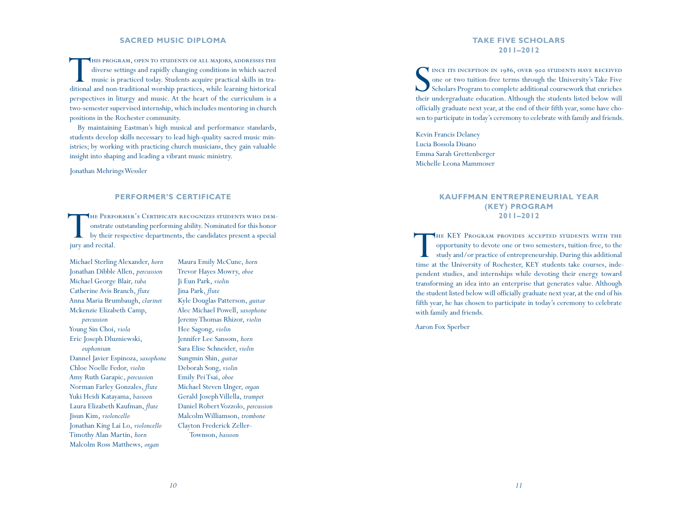### **SACRED MUSIC D**

THIS PROGRAM, OPEN TO STUDENTS OF ALL MAJORS, ADDRESSES THE diverse settings and rapidly changing conditions in which sacred music is practiced today. Students acquire practical skills in tradiverse settings and rapidly changing conditions in which sacred ditional and non-traditional worship practices, while learning historical perspectives in liturgy and music. At the heart of the curriculum is a two-semester supervised internship, which includes mentoring in church positions in the Rochester community.

By maintaining Eastman's high musical and performance standards, students develop skills necessary to lead high-quality sacred music min istries; by working with practicing church musicians, they gain valuable insight into shaping and leading a vibrant music ministry.

Jonathan Mehrings Wessler

#### **PERFORMER'S CER e**

THE PERFORMER'S CERTIFICATE RECOGNIZES STUDENTS WHO DEM-<br>onstrate outstanding performing ability. Nominated for this honor<br>by their respective departments, the candidates present a special THE PERFORMER'S CERTIFICATE RECOGNIZES STUDENTS WHO DEMonstrate outstanding performing ability. Nominated for this honor jury and recital.

Michael Sterling Alexander, *horn* Jonathan Dibble Allen, *percussion* Michael George Blair, *tuba* Catherine Avis Branch, *flute* Anna Maria Brumbaugh, *clarinet* Mckenzie Elizabeth Camp, *percussion* Young Sin Choi, *viola* Eric Joseph Dluzniewski, *euphonium* Dannel Javier Espinoza, *saxophone* Chloe Noelle Fedor, *violin* Amy Ruth Garapic, *percussion* Norman Farley Gonzales, *flute* Yuki Heidi Katayama, *bassoon*  Laura Elizabeth Kaufman, *flute* Jisun Kim, *violoncello* Jonathan King Lai Lo, *violoncello* Timothy Alan Martin, *horn* Malcolm Ross Matthews, *organ*

Maura Emily McCune, *horn* Trevor Hayes Mowry, *oboe* Ji Eun Park, *violin* Jina Park, *flute* Kyle Douglas Patterson, *guitar* Alec Michael Powell, *saxophone* Jeremy Thomas Rhizor, *violin* Hee Sagong, *violin* Jennifer Lee Sansom, *horn* Sara Elise Schneider, *violin* Sungmin Shin, *guitar* Deborah Song, *violin* Emily Pei Tsai, *oboe* Michael Steven Unger, *organ* Gerald Joseph Villella, *trumpet* Daniel Robert Vozzolo, *percussion* Malcolm Williamson, *trombone* Clayton Frederick Zeller-Townson, *bassoon*

### **TAKE FIVE SCHOLAR s 2011–2012**

SER INCETTS INCEPTION IN 1986, OVER 900 STUDENTS HAVE RECEIVED ONE OF two tuition-free terms through the University's Take Five Scholars Program to complete additional coursework that enriches one or two tuition-free terms through the University's Take Five Scholars Program to complete additional coursework that enriches their undergraduate education. Although the students listed below will officially graduate next year, at the end of their fifth year, some have cho sen to participate in today's ceremony to celebrate with family and friends.

Kevin Francis Delaney Lucia Bossola Disano Emma Sarah Grettenberger Michelle Leona Mammoser

### **Kauffman Ent rep reneu rial Year ( KEY) Pr ogram 2011–2012**

THE KEY PROGRAM PROVIDES ACCEPTED STUDENTS WITH THE opportunity to devote one or two semesters, tuition-free, to the study and/or practice of entrepreneurship. During this additional time at the University of Rochester, KEY students take courses, independent studies, and internships while devoting their energy toward transforming an idea into an enterprise that generates value. Although the student listed below will officially graduate next year, at the end of his fifth year, he has chosen to participate in today's ceremony to celebrate with family and friends.

Aaron Fox Sperber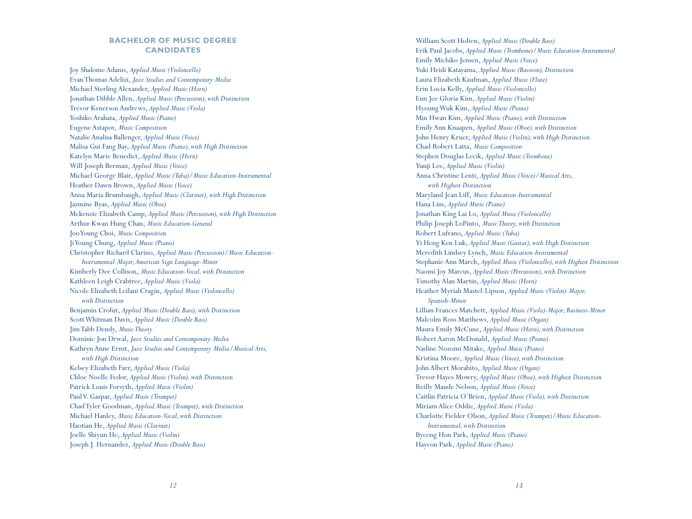# **BACHELOR OF MUSIC DEGREE CANDIDATES**

Joy Shalome Adams, *Applied Music (Violoncello)* Evan Thomas Adelizi, *Jazz Studies and Contemporary Media* Michael Sterling Alexander, *Applied Music (Horn)* Jonathan Dibble Allen, *Applied Music (Percussion), with Distinction* Trevor Kenerson Andrews, *Applied Music (Viola)* Yoshiko Arahata, *Applied Music (Piano)* Eugene Astapov, *Music Composition* Natalie Analisa Ballenger, *Applied Music (Voice)* Malisa Gui Fang Bay, *Applied Music (Piano), with High Distinction* Katelyn Marie Benedict, *Applied Music (Horn)* Will Joseph Berman, *Applied Music (Voice)* Michael George Blair, *Applied Music (Tuba)/Music Education-Instrumental* Heather Dawn Brown, *Applied Music (Voice)* Anna Maria Brumbaugh, *Applied Music (Clarinet), with High Distinction* Jazmine Byas, *Applied Music (Oboe)* Mckenzie Elizabeth Camp, *Applied Music (Percussion), with High Distinction* Arthur Kwan Hung Chan, *Music Education-General* Joo Young Choi, *Music Composition* Ji Young Chung, *Applied Music (Piano)* Christopher Richard Clarino, *Applied Music (Percussion)/Music Education-Instrumental-Major; American Sign Language-Minor* Kimberly Dee Collison, *Music Education-Vocal, with Distinction* Kathleen Leigh Crabtree, *Applied Music (Viola)* Nicole Elizabeth Leilani Cragin, *Applied Music (Violoncello) with Distinction* Benjamin Crofut, *Applied Music (Double Bass), with Distinction* Scott Whitman Davis, *Applied Music (Double Bass)* Jim Tabb Dendy, *Music Theory* Dominic Jon Drwal, *Jazz Studies and Contemporary Media* Kathryn Anne Ernst, *Jazz Studies and Contemporary Media/Musical Arts, with High Distinction* Kelsey Elizabeth Farr, *Applied Music (Viola)* Chloe Noelle Fedor, *Applied Music (Violin), with Distinction* Patrick Louis Forsyth, *Applied Music (Violin)* Paul V. Gaspar, *Applied Music (Trumpet)* Chad Tyler Goodman, *Applied Music (Trumpet), with Distinction* Michael Hanley, *Music Education-Vocal, with Distinction* Haotian He, *Applied Music (Clarinet)* Joelle Shiyun He, *Applied Music (Violin)* Joseph J. Hernandez, *Applied Music (Double Bass)*

William Scott Holten, *Applied Music (Double Bass)* Erik Paul Jacobs, *Applied Music (Trombone)/Music Education-Instrumental* Emily Michiko Jensen, *Applied Music (Voice)* Yuki Heidi Katayama, *Applied Music (Bassoon), Distinction* Laura Elizabeth Kaufman, *Applied Music (Flute)* Erin Locia Kelly, *Applied Music (Violoncello)* Eun Jee Gloria Kim, *Applied Music (Violin)* Hyoung Wuk Kim, *Applied Music (Piano)* Min Hwan Kim, *Applied Music (Piano), with Distinction* Emily Ann Knaapen, *Applied Music (Oboe), with Distinction* John Henry Kruer, *Applied Music (Violin), with High Distinction* Chad Robert Latta, *Music Composition* Stephen Douglas Lecik, *Applied Music (Trombone)* Yunji Lee, *Applied Music (Violin)* Anna Christine Lenti, *Applied Music (Voice)/Musical Arts, with Highest Distinction* Maryland Jean Liff, *Music Education-Instrumental* Hana Lim, *Applied Music (Piano)* Jonathan King Lai Lo, *Applied Music (Violoncello)* Philip Joseph LoPinto, *Music Theory, with Distinction* Robert Lufrano, *Applied Music (Tuba)* Yi Heng Ken Luk, *Applied Music (Guitar), with High Distinction* Meredith Lindsey Lynch, *Music Education-Instrumental* Stephanie Ann March, *Applied Music (Violoncello), with Highest Distinction* Naomi Joy Marcus, *Applied Music (Percussion), with Distinction* Timothy Alan Martin, *Applied Music (Horn)* Heather Myriah Mastel-Lipson, *Applied Music (Violin)-Major; Spanish-Minor* Lillian Frances Matchett, *Applied Music (Viola)-Major; Business-Minor* Malcolm Ross Matthews, *Applied Music (Organ)* Maura Emily McCune, *Applied Music (Horn), with Distinction* Robert Aaron McDonald, *Applied Music (Piano)* Nadine Nozomi Mitake, *Applied Music (Piano)* Kristina Moore, *Applied Music (Voice), with Distinction* John Albert Morabito, *Applied Music (Organ)* Trevor Hayes Mowry, *Applied Music (Oboe), with Highest Distinction* Reilly Maude Nelson, *Applied Music (Voice)* Caitlin Patricia O'Brien, *Applied Music (Viola), with Distinction* Miriam Alice Oddie, *Applied Music (Viola)* Charlotte Fielder Olson, *Applied Music (Trumpet)/Music Education-Instrumental, with Distinction* Byeong Hon Park, *Applied Music (Piano)* Hayeon Park, *Applied Music (Piano)*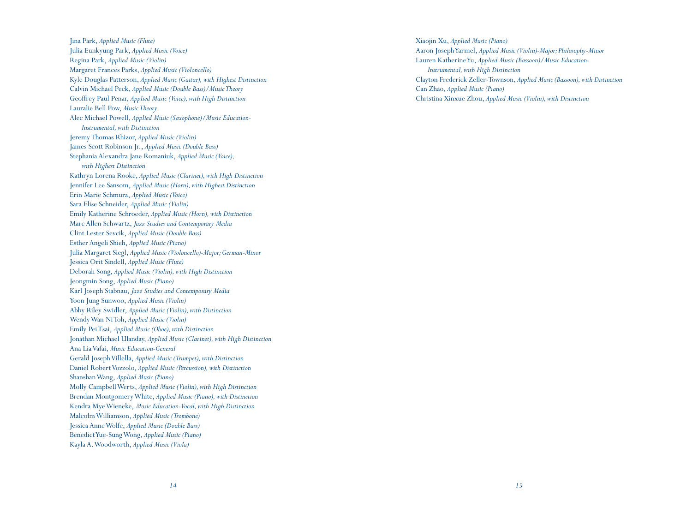Jina Park, *Applied Music (Flute)* Julia Eunkyung Park, *Applied Music (Voice)* Regina Park, *Applied Music (Violin)* Margaret Frances Parks, *Applied Music (Violoncello)* Kyle Douglas Patterson, *Applied Music (Guitar), with Highest Distinction* Calvin Michael Peck, *Applied Music (Double Bass)/Music Theory* Geoffrey Paul Penar, *Applied Music (Voice), with High Distinction* Lauralie Bell Pow, *Music Theory* Alec Michael Powell, *Applied Music (Saxophone)/Music Education-Instrumental, with Distinction* Jeremy Thomas Rhizor, *Applied Music (Violin)* James Scott Robinson Jr., *Applied Music (Double Bass)* Stephania Alexandra Jane Romaniuk, *Applied Music (Voice), with Highest Distinction* Kathryn Lorena Rooke, *Applied Music (Clarinet), with High Distinction* Jennifer Lee Sansom, *Applied Music (Horn), with Highest Distinction* Erin Marie Schmura, *Applied Music (Voice)* Sara Elise Schneider, *Applied Music (Violin)* Emily Katherine Schroeder, *Applied Music (Horn), with Distinction* Marc Allen Schwartz, *Jazz Studies and Contemporary Media* Clint Lester Sevcik, *Applied Music (Double Bass)* Esther Angeli Shieh, *Applied Music (Piano)* Julia Margaret Siegl, *Applied Music (Violoncello)-Major; German-Minor* Jessica Orit Sindell, *Applied Music (Flute)* Deborah Song, *Applied Music (Violin), with High Distinction* Jeongmin Song, *Applied Music (Piano)* Karl Joseph Stabnau, *Jazz Studies and Contemporary Media* Yoon Jung Sunwoo, *Applied Music (Violin)* Abby Riley Swidler, *Applied Music (Violin), with Distinction* Wendy Wan Ni Toh, *Applied Music (Violin)* Emily Pei Tsai, *Applied Music (Oboe), with Distinction* Jonathan Michael Ulanday, *Applied Music (Clarinet), with High Distinction* Ana Lia Vafai, *Music Education-General* Gerald Joseph Villella, *Applied Music (Trumpet), with Distinction* Daniel Robert Vozzolo, *Applied Music (Percussion), with Distinction* Shanshan Wang, *Applied Music (Piano)* Molly Campbell Werts, *Applied Music (Violin), with High Distinction* Brendan Montgomery White, *Applied Music (Piano), with Distinction* Kendra Mye Wieneke, *Music Education-Vocal, with High Distinction* Malcolm Williamson, *Applied Music (Trombone)* Jessica Anne Wolfe, *Applied Music (Double Bass)* Benedict Yue-Sung Wong, *Applied Music (Piano)* Kayla A. Woodworth, *Applied Music (Viola)*

Xiaojin Xu, *Applied Music (Piano)* Aaron Joseph Yarmel, *Applied Music (Violin)-Major; Philosophy-Minor* Lauren Katherine Yu, *Applied Music (Bassoon)/Music Education-Instrumental, with High Distinction* Clayton Frederick Zeller-Townson, *Applied Music (Bassoon), with Distinction* Can Zhao, *Applied Music (Piano)* Christina Xinxue Zhou, *Applied Music (Violin), with Distinction*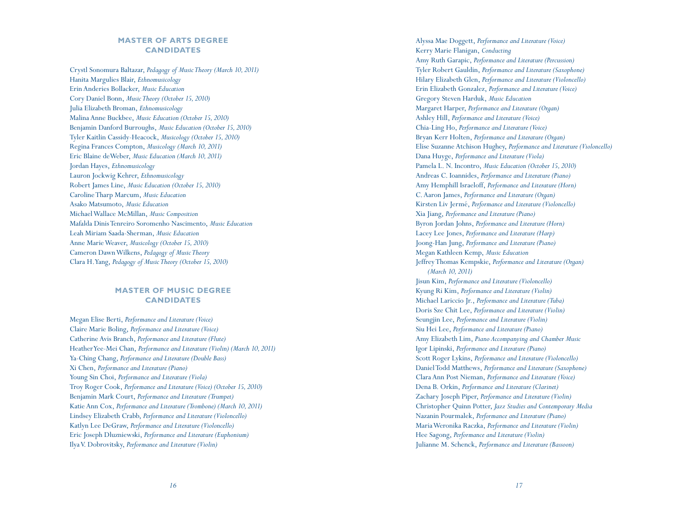## **MASTER OF ARTS DEGREE CANDIDATES**

Crystl Sonomura Baltazar, *Pedagogy of Music Theory (March 10, 2011)* Hanita Margulies Blair, *Ethnomusicology* Erin Anderies Bollacker, *Music Education* Cory Daniel Bonn, *Music Theory (October 15, 2010)* Julia Elizabeth Broman, *Ethnomusicology* Malina Anne Buckbee, *Music Education (October 15, 2010)* Benjamin Danford Burroughs, *Music Education (October 15, 2010)* Tyler Kaitlin Cassidy-Heacock, *Musicology (October 15, 2010)* Regina Frances Compton, *Musicology (March 10, 2011)* Eric Blaine deWeber, *Music Education (March 10, 2011)* Jordan Hayes, *Ethnomusicology* Lauron Jockwig Kehrer, *Ethnomusicology* Robert James Line, *Music Education (October 15, 2010)* Caroline Tharp Marcum, *Music Education* Asako Matsumoto, *Music Education* Michael Wallace McMillan, *Music Composition* Mafalda Dinis Tenreiro Soromenho Nascimento, *Music Education* Leah Miriam Saada-Sherman, *Music Education* Anne Marie Weaver, *Musicology (October 15, 2010)* Cameron Dawn Wilkens, *Pedagogy of Music Theory* Clara H. Yang, *Pedagogy of Music Theory (October 15, 2010)*

# **MASTER OF MUSIC DEGREE CANDIDATES**

Megan Elise Berti, *Performance and Literature (Voice)* Claire Marie Boling, *Performance and Literature (Voice)* Catherine Avis Branch, *Performance and Literature (Flute)* Heather Yee-Mei Chan, *Performance and Literature (Violin) (March 10, 2011)* Ya-Ching Chang, *Performance and Literature (Double Bass)* Xi Chen, *Performance and Literature (Piano)* Young Sin Choi, *Performance and Literature (Viola)* Troy Roger Cook, *Performance and Literature (Voice) (October 15, 2010)* Benjamin Mark Court, *Performance and Literature (Trumpet)* Katie Ann Cox, *Performance and Literature (Trombone) (March 10, 2011)* Lindsey Elizabeth Crabb, *Performance and Literature (Violoncello)* Katlyn Lee DeGraw, *Performance and Literature (Violoncello)* Eric Joseph Dluzniewski, *Performance and Literature (Euphonium)* Ilya V. Dobrovitsky, *Performance and Literature (Violin)*

Alyssa Mae Doggett, *Performance and Literature (Voice)* Kerry Marie Flanigan, *Conducting* Amy Ruth Garapic, *Performance and Literature (Percussion)* Tyler Robert Gauldin, *Performance and Literature (Saxophone)* Hilary Elizabeth Glen, *Performance and Literature (Violoncello)* Erin Elizabeth Gonzalez, *Performance and Literature (Voice)* Gregory Steven Harduk, *Music Education* Margaret Harper, *Performance and Literature (Organ)* Ashley Hill, *Performance and Literature (Voice)* Chia-Ling Ho, *Performance and Literature (Voice)* Bryan Kerr Holten, *Performance and Literature (Organ)* Elise Suzanne Atchison Hughey, *Performance and Literature (Violoncello)* Dana Huyge, *Performance and Literature (Viola)* Pamela L. N. Incontro, *Music Education (October 15, 2010)* Andreas C. Ioannides, *Performance and Literature (Piano)* Amy Hemphill Israeloff, *Performance and Literature (Horn)* C. Aaron James, *Performance and Literature (Organ)* Kirsten Liv Jermé, *Performance and Literature (Violoncello)* Xia Jiang, *Performance and Literature (Piano)* Byron Jordan Johns, *Performance and Literature (Horn)* Lacey Lee Jones, *Performance and Literature (Harp)* Joong-Han Jung, *Performance and Literature (Piano)* Megan Kathleen Kemp, *Music Education* Jeffrey Thomas Kempskie, *Performance and Literature (Organ) (March 10, 2011)* Jisun Kim, *Performance and Literature (Violoncello)* Kyung Ri Kim, *Performance and Literature (Violin)* Michael Lariccio Jr., *Performance and Literature (Tuba)* Doris Sze Chit Lee, *Performance and Literature (Violin)* Seungjin Lee, *Performance and Literature (Violin)* Siu Hei Lee, *Performance and Literature (Piano)* Amy Elizabeth Lim, *Piano Accompanying and Chamber Music* Igor Lipinski, *Performance and Literature (Piano)* Scott Roger Lykins, *Performance and Literature (Violoncello)* Daniel Todd Matthews, *Performance and Literature (Saxophone)* Clara Ann Post Nieman, *Performance and Literature (Voice)* Dena B. Orkin, *Performance and Literature (Clarinet)* Zachary Joseph Piper, *Performance and Literature (Violin)* Christopher Quinn Potter, *Jazz Studies and Contemporary Media* Nazanin Pourmalek, *Performance and Literature (Piano)* Maria Weronika Raczka, *Performance and Literature (Violin)* Hee Sagong, *Performance and Literature (Violin)* Julianne M. Schenck, *Performance and Literature (Bassoon)*